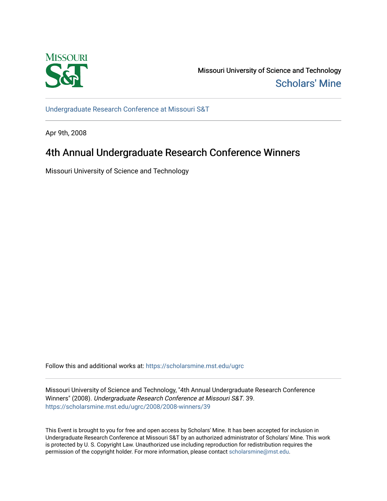

Missouri University of Science and Technology [Scholars' Mine](https://scholarsmine.mst.edu/) 

[Undergraduate Research Conference at Missouri S&T](https://scholarsmine.mst.edu/ugrc)

Apr 9th, 2008

# 4th Annual Undergraduate Research Conference Winners

Missouri University of Science and Technology

Follow this and additional works at: [https://scholarsmine.mst.edu/ugrc](https://scholarsmine.mst.edu/ugrc?utm_source=scholarsmine.mst.edu%2Fugrc%2F2008%2F2008-winners%2F39&utm_medium=PDF&utm_campaign=PDFCoverPages) 

Missouri University of Science and Technology, "4th Annual Undergraduate Research Conference Winners" (2008). Undergraduate Research Conference at Missouri S&T. 39. [https://scholarsmine.mst.edu/ugrc/2008/2008-winners/39](https://scholarsmine.mst.edu/ugrc/2008/2008-winners/39?utm_source=scholarsmine.mst.edu%2Fugrc%2F2008%2F2008-winners%2F39&utm_medium=PDF&utm_campaign=PDFCoverPages)

This Event is brought to you for free and open access by Scholars' Mine. It has been accepted for inclusion in Undergraduate Research Conference at Missouri S&T by an authorized administrator of Scholars' Mine. This work is protected by U. S. Copyright Law. Unauthorized use including reproduction for redistribution requires the permission of the copyright holder. For more information, please contact [scholarsmine@mst.edu](mailto:scholarsmine@mst.edu).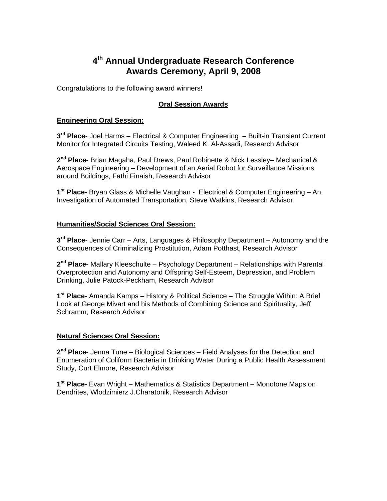# **4th Annual Undergraduate Research Conference Awards Ceremony, April 9, 2008**

Congratulations to the following award winners!

# **Oral Session Awards**

### **Engineering Oral Session:**

**3rd Place**- Joel Harms – Electrical & Computer Engineering – Built-in Transient Current Monitor for Integrated Circuits Testing, Waleed K. Al-Assadi, Research Advisor

**2nd Place-** Brian Magaha, Paul Drews, Paul Robinette & Nick Lessley– Mechanical & Aerospace Engineering – Development of an Aerial Robot for Surveillance Missions around Buildings, Fathi Finaish, Research Advisor

**1st Place**- Bryan Glass & Michelle Vaughan - Electrical & Computer Engineering – An Investigation of Automated Transportation, Steve Watkins, Research Advisor

#### **Humanities/Social Sciences Oral Session:**

**3rd Place**- Jennie Carr – Arts, Languages & Philosophy Department – Autonomy and the Consequences of Criminalizing Prostitution, Adam Potthast, Research Advisor

**2nd Place-** Mallary Kleeschulte – Psychology Department – Relationships with Parental Overprotection and Autonomy and Offspring Self-Esteem, Depression, and Problem Drinking, Julie Patock-Peckham, Research Advisor

**1st Place**- Amanda Kamps – History & Political Science – The Struggle Within: A Brief Look at George Mivart and his Methods of Combining Science and Spirituality, Jeff Schramm, Research Advisor

#### **Natural Sciences Oral Session:**

**2nd Place-** Jenna Tune – Biological Sciences – Field Analyses for the Detection and Enumeration of Coliform Bacteria in Drinking Water During a Public Health Assessment Study, Curt Elmore, Research Advisor

**1st Place**- Evan Wright – Mathematics & Statistics Department – Monotone Maps on Dendrites, Wlodzimierz J.Charatonik, Research Advisor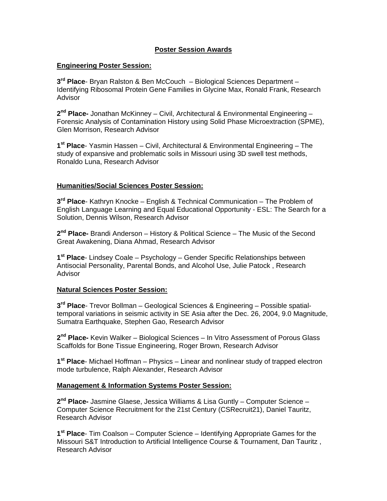## **Poster Session Awards**

#### **Engineering Poster Session:**

**3rd Place**- Bryan Ralston & Ben McCouch – Biological Sciences Department – Identifying Ribosomal Protein Gene Families in Glycine Max, Ronald Frank, Research **Advisor** 

**2nd Place-** Jonathan McKinney – Civil, Architectural & Environmental Engineering – Forensic Analysis of Contamination History using Solid Phase Microextraction (SPME), Glen Morrison, Research Advisor

**1st Place**- Yasmin Hassen – Civil, Architectural & Environmental Engineering – The study of expansive and problematic soils in Missouri using 3D swell test methods, Ronaldo Luna, Research Advisor

### **Humanities/Social Sciences Poster Session:**

**3rd Place**- Kathryn Knocke – English & Technical Communication – The Problem of English Language Learning and Equal Educational Opportunity - ESL: The Search for a Solution, Dennis Wilson, Research Advisor

**2nd Place-** Brandi Anderson – History & Political Science – The Music of the Second Great Awakening, Diana Ahmad, Research Advisor

**1st Place**- Lindsey Coale – Psychology – Gender Specific Relationships between Antisocial Personality, Parental Bonds, and Alcohol Use, Julie Patock , Research Advisor

## **Natural Sciences Poster Session:**

**3rd Place**- Trevor Bollman – Geological Sciences & Engineering – Possible spatialtemporal variations in seismic activity in SE Asia after the Dec. 26, 2004, 9.0 Magnitude, Sumatra Earthquake, Stephen Gao, Research Advisor

**2nd Place-** Kevin Walker – Biological Sciences – In Vitro Assessment of Porous Glass Scaffolds for Bone Tissue Engineering, Roger Brown, Research Advisor

**1st Place**- Michael Hoffman – Physics – Linear and nonlinear study of trapped electron mode turbulence, Ralph Alexander, Research Advisor

### **Management & Information Systems Poster Session:**

**2nd Place-** Jasmine Glaese, Jessica Williams & Lisa Guntly – Computer Science – Computer Science Recruitment for the 21st Century (CSRecruit21), Daniel Tauritz, Research Advisor

**1st Place**- Tim Coalson – Computer Science – Identifying Appropriate Games for the Missouri S&T Introduction to Artificial Intelligence Course & Tournament, Dan Tauritz , Research Advisor